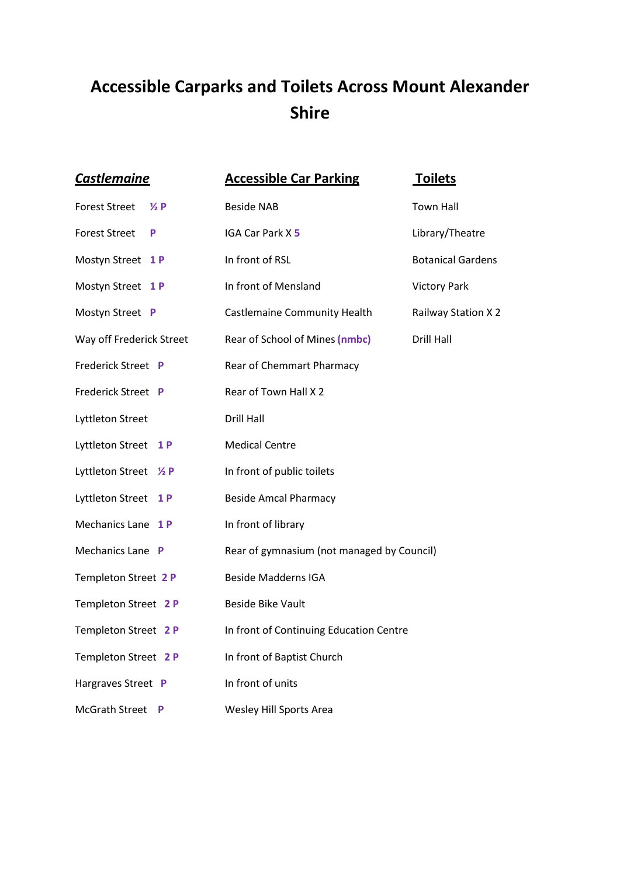## **Accessible Carparks and Toilets Across Mount Alexander Shire**

| <b>Castlemaine</b>                     | <b>Accessible Car Parking</b>              | <b>Toilets</b>           |
|----------------------------------------|--------------------------------------------|--------------------------|
| <b>Forest Street</b><br>$\frac{1}{2}P$ | <b>Beside NAB</b>                          | <b>Town Hall</b>         |
| <b>Forest Street</b><br>P              | IGA Car Park X 5                           | Library/Theatre          |
| Mostyn Street 1P                       | In front of RSL                            | <b>Botanical Gardens</b> |
| Mostyn Street 1P                       | In front of Mensland                       | <b>Victory Park</b>      |
| Mostyn Street P                        | Castlemaine Community Health               | Railway Station X 2      |
| Way off Frederick Street               | Rear of School of Mines (nmbc)             | <b>Drill Hall</b>        |
| Frederick Street P                     | Rear of Chemmart Pharmacy                  |                          |
| Frederick Street P                     | Rear of Town Hall X 2                      |                          |
| Lyttleton Street                       | <b>Drill Hall</b>                          |                          |
| Lyttleton Street<br>1 P                | <b>Medical Centre</b>                      |                          |
| Lyttleton Street 1/2 P                 | In front of public toilets                 |                          |
| Lyttleton Street<br><b>1P</b>          | <b>Beside Amcal Pharmacy</b>               |                          |
| Mechanics Lane 1P                      | In front of library                        |                          |
| Mechanics Lane P                       | Rear of gymnasium (not managed by Council) |                          |
| Templeton Street 2 P                   | <b>Beside Madderns IGA</b>                 |                          |
| Templeton Street 2 P                   | <b>Beside Bike Vault</b>                   |                          |
| Templeton Street 2 P                   | In front of Continuing Education Centre    |                          |
| Templeton Street 2 P                   | In front of Baptist Church                 |                          |
| Hargraves Street P                     | In front of units                          |                          |
| <b>McGrath Street</b><br>P             | Wesley Hill Sports Area                    |                          |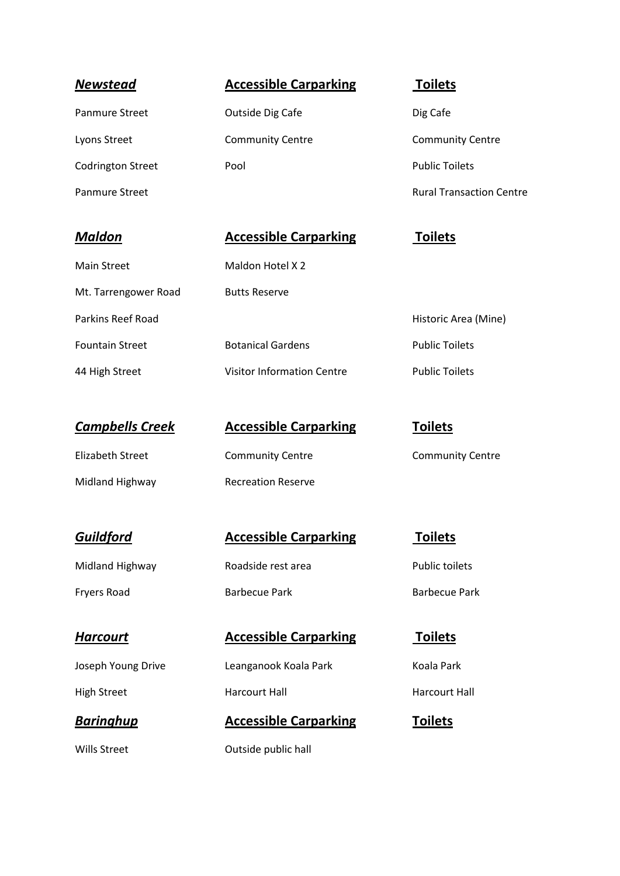| <b>Newstead</b>          | <b>Accessible Carparking</b> | <b>Toilets</b>                  |
|--------------------------|------------------------------|---------------------------------|
| <b>Panmure Street</b>    | Outside Dig Cafe             | Dig Cafe                        |
| Lyons Street             | <b>Community Centre</b>      | <b>Community Centre</b>         |
| <b>Codrington Street</b> | Pool                         | <b>Public Toilets</b>           |
| <b>Panmure Street</b>    |                              | <b>Rural Transaction Centre</b> |
|                          |                              |                                 |
|                          |                              |                                 |
| <b>Maldon</b>            | <b>Accessible Carparking</b> | <b>Toilets</b>                  |
| <b>Main Street</b>       | Maldon Hotel X 2             |                                 |
| Mt. Tarrengower Road     | <b>Butts Reserve</b>         |                                 |
| <b>Parkins Reef Road</b> |                              | Historic Area (Mine)            |
| <b>Fountain Street</b>   | <b>Botanical Gardens</b>     | <b>Public Toilets</b>           |

| <b>Campbells Creek</b> | <b>Accessible Carp</b>    |
|------------------------|---------------------------|
| Elizabeth Street       | <b>Community Centre</b>   |
| Midland Highway        | <b>Recreation Reserve</b> |

High Street **Harcourt Hall** Harcourt Hall Harcourt Hall

*Guildford* **Accessible Carparking Toilets** Midland Highway **Roadside rest area** Public toilets Fryers Road **Barbecue Park** Barbecue Park Barbecue Park

*Harcourt* **Accessible Carparking Toilets** Joseph Young Drive **Leanganook Koala Park** Koala Park

**Baringhup Accessible Carparking Toilets** 

Wills Street **Outside public hall** 

44 High Street Visitor Information Centre Public Toilets

## **ible Carparking <b>Toilets**

hity Centre **Community Centre**